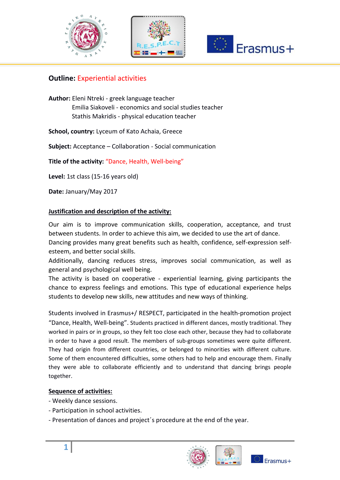





# **Outline: Experiential activities**

**Author:** Eleni Ntreki - greek language teacher Emilia Siakoveli - economics and social studies teacher Stathis Makridis - physical education teacher

**School, country:** Lyceum of Kato Achaia, Greece

**Subject:** Acceptance – Collaboration - Social communication

**Title of the activity:** "Dance, Health, Well-being"

**Level:** 1st class (15-16 years old)

**Date:** January/May 2017

#### **Justification and description of the activity:**

Our aim is to improve communication skills, cooperation, acceptance, and trust between students. In order to achieve this aim, we decided to use the art of dance.

Dancing provides many great benefits such as health, confidence, self-expression selfesteem, and better social skills.

Additionally, dancing reduces stress, improves social communication, as well as general and psychological well being.

The activity is based on cooperative - experiential learning, giving participants the chance to express feelings and emotions. This type of educational experience helps students to develop new skills, new attitudes and new ways of thinking.

Students involved in Erasmus+/ RESPECT, participated in the health-promotion project "Dance, Health, Well-being". Students practiced in different dances, mostly traditional. They worked in pairs or in groups, so they felt too close each other, because they had to collaborate in order to have a good result. The members of sub-groups sometimes were quite different. They had origin from different countries, or belonged to minorities with different culture. Some of them encountered difficulties, some others had to help and encourage them. Finally they were able to collaborate efficiently and to understand that dancing brings people together.

#### **Sequence of activities:**

- Weekly dance sessions.
- Participation in school activities.
- Presentation of dances and project΄s procedure at the end of the year.